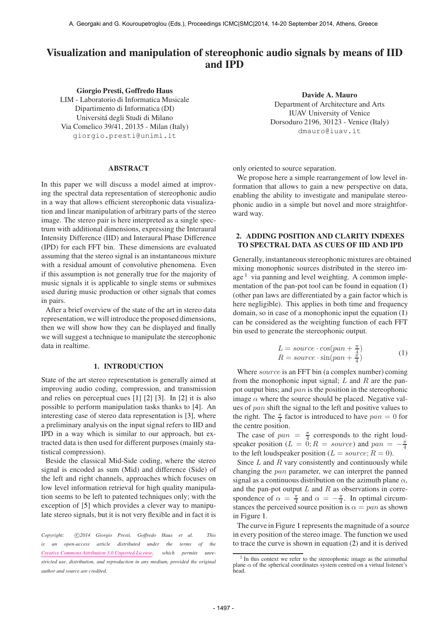# Visualization and manipulation of stereophonic audio signals by means of IID and IPD

Giorgio Presti, Goffredo Haus LIM - Laboratorio di Informatica Musicale Dipartimento di Informatica (DI) Universitá degli Studi di Milano Via Comelico 39/41, 20135 - Milan (Italy) [giorgio.presti@unimi.it](mailto:giorgio.presti@unimi.it)

#### ABSTRACT

In this paper we will discuss a model aimed at improving the spectral data representation of stereophonic audio in a way that allows efficient stereophonic data visualization and linear manipulation of arbitrary parts of the stereo image. The stereo pair is here interpreted as a single spectrum with additional dimensions, expressing the Interaural Intensity Difference (IID) and Interaural Phase Difference (IPD) for each FFT bin. These dimensions are evaluated assuming that the stereo signal is an instantaneous mixture with a residual amount of convolutive phenomena. Even if this assumption is not generally true for the majority of music signals it is applicable to single stems or submixes used during music production or other signals that comes in pairs.

After a brief overview of the state of the art in stereo data representation, we will introduce the proposed dimensions, then we will show how they can be displayed and finally we will suggest a technique to manipulate the stereophonic data in realtime.

### 1. INTRODUCTION

State of the art stereo representation is generally aimed at improving audio coding, compression, and transmission and relies on perceptual cues [1] [2] [3]. In [2] it is also possible to perform manipulation tasks thanks to [4]. An interesting case of stereo data representation is [3], where a preliminary analysis on the input signal refers to IID and IPD in a way which is similar to our approach, but extracted data is then used for different purposes (mainly statistical compression).

Beside the classical Mid-Side coding, where the stereo signal is encoded as sum (Mid) and difference (Side) of the left and right channels, approaches which focuses on low level information retrieval for high quality manipulation seems to be left to patented techniques only; with the exception of [5] which provides a clever way to manipulate stereo signals, but it is not very flexible and in fact it is

Copyright:  $\bigcirc$ 2014 Giorgio Presti, Goffredo Haus et al. This *is an open-access article distributed under the terms of the [Creative Commons Attribution 3.0 Unported License,](http://creativecommons.org/licenses/by/3.0/) which permits unrestricted use, distribution, and reproduction in any medium, provided the original author and source are credited.*

Davide A. Mauro Department of Architecture and Arts IUAV University of Venice Dorsoduro 2196, 30123 - Venice (Italy) [dmauro@iuav.it](mailto:dmauro@iuav.it)

only oriented to source separation.

We propose here a simple rearrangement of low level information that allows to gain a new perspective on data, enabling the ability to investigate and manipulate stereophonic audio in a simple but novel and more straightforward way.

# 2. ADDING POSITION AND CLARITY INDEXES TO SPECTRAL DATA AS CUES OF IID AND IPD

Generally, instantaneous stereophonic mixtures are obtained mixing monophonic sources distributed in the stereo image  $<sup>1</sup>$  via panning and level weighting. A common imple-</sup> mentation of the pan-pot tool can be found in equation (1) (other pan laws are differentiated by a gain factor which is here negligible). This applies in both time and frequency domain, so in case of a monophonic input the equation (1) can be considered as the weighting function of each FFT bin used to generate the stereophonic output.

$$
L = source \cdot \cos(pan + \frac{\pi}{4})
$$
  
\n
$$
R = source \cdot \sin(pan + \frac{\pi}{4})
$$
 (1)

Where *source* is an FFT bin (a complex number) coming from the monophonic input signal;  $L$  and  $R$  are the panpot output bins; and pan is the position in the stereophonic image  $\alpha$  where the source should be placed. Negative values of pan shift the signal to the left and positive values to the right. The  $\frac{\pi}{4}$  factor is introduced to have  $pan = 0$  for the centre position.

The case of  $pan = \frac{\pi}{4}$  corresponds to the right loudspeaker position ( $L = 0$ ;  $R = source$ ) and  $pan = -\frac{\pi}{4}$ to the left loudspeaker position ( $L = source; R = 0$ ).

Since  $L$  and  $R$  vary consistently and continuously while changing the pan parameter, we can interpret the panned signal as a continuous distribution on the azimuth plane  $\alpha$ , and the pan-pot output  $L$  and  $R$  as observations in correspondence of  $\alpha = \frac{\pi}{4}$  and  $\alpha = -\frac{\pi}{4}$ . In optimal circumstances the perceived source position is  $\alpha = pan$  as shown in Figure 1.

The curve in Figure 1 represents the magnitude of a source in every position of the stereo image. The function we used to trace the curve is shown in equation (2) and it is derived

<sup>&</sup>lt;sup>1</sup> In this context we refer to the stereophonic image as the azimuthal plane  $\alpha$  of the spherical coordinates system centred on a virtual listener's head.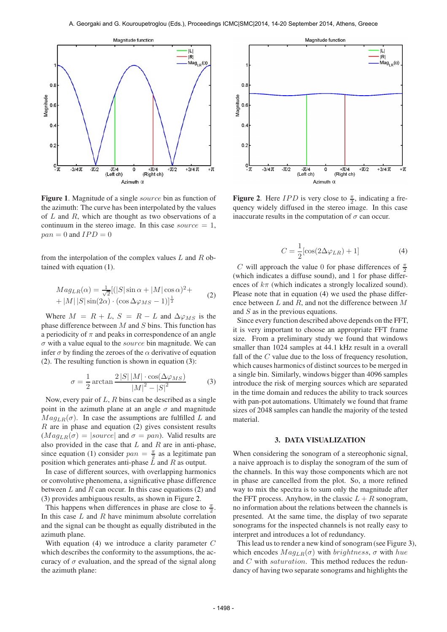

Figure 1. Magnitude of a single *source* bin as function of the azimuth: The curve has been interpolated by the values of  $L$  and  $R$ , which are thought as two observations of a continuum in the stereo image. In this case source  $= 1$ ,  $pan = 0$  and  $IPD = 0$ 

from the interpolation of the complex values  $L$  and  $R$  obtained with equation (1).

$$
Mag_{LR}(\alpha) = \frac{1}{\sqrt{2}}[(|S|\sin \alpha + |M|\cos \alpha)^{2} + |M||S|\sin(2\alpha) \cdot (\cos \Delta \varphi_{MS} - 1)]^{\frac{1}{2}}
$$
(2)

Where  $M = R + L$ ,  $S = R - L$  and  $\Delta \varphi_{MS}$  is the phase difference between  $M$  and  $S$  bins. This function has a periodicity of  $\pi$  and peaks in correspondence of an angle  $\sigma$  with a value equal to the *source* bin magnitude. We can infer  $\sigma$  by finding the zeroes of the  $\alpha$  derivative of equation (2). The resulting function is shown in equation (3):

$$
\sigma = \frac{1}{2} \arctan \frac{2|S||M| \cdot \cos(\Delta\varphi_{MS})}{|M|^2 - |S|^2} \tag{3}
$$

Now, every pair of  $L$ ,  $R$  bins can be described as a single point in the azimuth plane at an angle  $\sigma$  and magnitude  $Mag_{LR}(\sigma)$ . In case the assumptions are fulfilled L and  $R$  are in phase and equation (2) gives consistent results  $(Mag<sub>LR</sub>(\sigma) = |source|$  and  $\sigma = pan)$ . Valid results are also provided in the case that  $L$  and  $R$  are in anti-phase, since equation (1) consider  $pan = \frac{\pi}{2}$  as a legitimate pan position which generates anti-phase  $L$  and  $R$  as output.

In case of different sources, with overlapping harmonics or convolutive phenomena, a significative phase difference between  $L$  and  $R$  can occur. In this case equations (2) and (3) provides ambiguous results, as shown in Figure 2.

This happens when differences in phase are close to  $\frac{\pi}{2}$ . In this case  $L$  and  $R$  have minimum absolute correlation and the signal can be thought as equally distributed in the azimuth plane.

With equation (4) we introduce a clarity parameter C which describes the conformity to the assumptions, the accuracy of  $\sigma$  evaluation, and the spread of the signal along the azimuth plane:



**Figure 2.** Here *IPD* is very close to  $\frac{\pi}{2}$ , indicating a frequency widely diffused in the stereo image. In this case inaccurate results in the computation of  $\sigma$  can occur.

$$
C = \frac{1}{2} [\cos(2\Delta\varphi_{LR}) + 1] \tag{4}
$$

C will approach the value 0 for phase differences of  $\frac{\pi}{2}$ (which indicates a diffuse sound), and 1 for phase differences of  $k\pi$  (which indicates a strongly localized sound). Please note that in equation (4) we used the phase difference between  $L$  and  $R$ , and not the difference between  $M$ and S as in the previous equations.

Since every function described above depends on the FFT, it is very important to choose an appropriate FFT frame size. From a preliminary study we found that windows smaller than 1024 samples at 44.1 kHz result in a overall fall of the C value due to the loss of frequency resolution, which causes harmonics of distinct sources to be merged in a single bin. Similarly, windows bigger than 4096 samples introduce the risk of merging sources which are separated in the time domain and reduces the ability to track sources with pan-pot automations. Ultimately we found that frame sizes of 2048 samples can handle the majority of the tested material.

## 3. DATA VISUALIZATION

When considering the sonogram of a stereophonic signal, a naive approach is to display the sonogram of the sum of the channels. In this way those components which are not in phase are cancelled from the plot. So, a more refined way to mix the spectra is to sum only the magnitude after the FFT process. Anyhow, in the classic  $L + R$  sonogram, no information about the relations between the channels is presented. At the same time, the display of two separate sonograms for the inspected channels is not really easy to interpret and introduces a lot of redundancy.

This lead us to render a new kind of sonogram (see Figure 3), which encodes  $Mag_{LR}(\sigma)$  with *brightness*,  $\sigma$  with *hue* and C with saturation. This method reduces the redundancy of having two separate sonograms and highlights the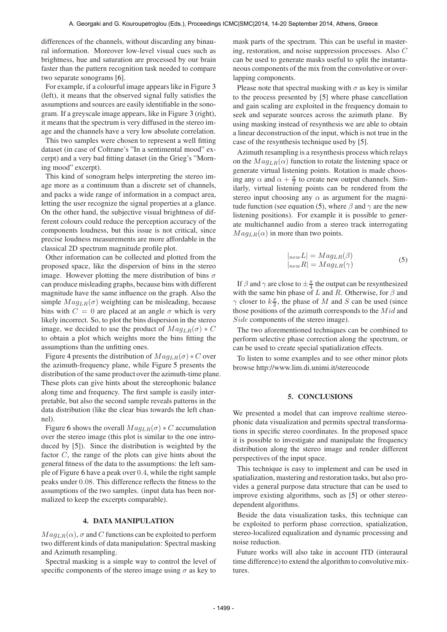differences of the channels, without discarding any binaural information. Moreover low-level visual cues such as brightness, hue and saturation are processed by our brain faster than the pattern recognition task needed to compare two separate sonograms [6].

For example, if a colourful image appears like in Figure 3 (left), it means that the observed signal fully satisfies the assumptions and sources are easily identifiable in the sonogram. If a greyscale image appears, like in Figure 3 (right), it means that the spectrum is very diffused in the stereo image and the channels have a very low absolute correlation.

This two samples were chosen to represent a well fitting dataset (in case of Coltrane's "In a sentimental mood" excerpt) and a very bad fitting dataset (in the Grieg's "Morning mood" excerpt).

This kind of sonogram helps interpreting the stereo image more as a continuum than a discrete set of channels, and packs a wide range of information in a compact area, letting the user recognize the signal properties at a glance. On the other hand, the subjective visual brightness of different colours could reduce the perception accuracy of the components loudness, but this issue is not critical, since precise loudness measurements are more affordable in the classical 2D spectrum magnitude profile plot.

Other information can be collected and plotted from the proposed space, like the dispersion of bins in the stereo image. However plotting the mere distribution of bins  $\sigma$ can produce misleading graphs, because bins with different magnitude have the same influence on the graph. Also the simple  $Mag_{LR}(\sigma)$  weighting can be misleading, because bins with  $C = 0$  are placed at an angle  $\sigma$  which is very likely incorrect. So, to plot the bins dispersion in the stereo image, we decided to use the product of  $Mag_{LR}(\sigma) * C$ to obtain a plot which weights more the bins fitting the assumptions than the unfitting ones.

Figure 4 presents the distribution of  $Mag_{LR}(\sigma) * C$  over the azimuth-frequency plane, while Figure 5 presents the distribution of the same product over the azimuth-time plane. These plots can give hints about the stereophonic balance along time and frequency. The first sample is easily interpretable, but also the second sample reveals patterns in the data distribution (like the clear bias towards the left channel).

Figure 6 shows the overall  $Mag_{LR}(\sigma) * C$  accumulation over the stereo image (this plot is similar to the one introduced by [5]). Since the distribution is weighted by the factor C, the range of the plots can give hints about the general fitness of the data to the assumptions: the left sample of Figure 6 have a peak over 0.4, while the right sample peaks under 0.08. This difference reflects the fitness to the assumptions of the two samples. (input data has been normalized to keep the excerpts comparable).

## 4. DATA MANIPULATION

 $Mag_{LR}(\alpha)$ ,  $\sigma$  and C functions can be exploited to perform two different kinds of data manipulation: Spectral masking and Azimuth resampling.

Spectral masking is a simple way to control the level of specific components of the stereo image using  $\sigma$  as key to

mask parts of the spectrum. This can be useful in mastering, restoration, and noise suppression processes. Also C can be used to generate masks useful to split the instantaneous components of the mix from the convolutive or overlapping components.

Please note that spectral masking with  $\sigma$  as key is similar to the process presented by [5] where phase cancellation and gain scaling are exploited in the frequency domain to seek and separate sources across the azimuth plane. By using masking instead of resynthesis we are able to obtain a linear deconstruction of the input, which is not true in the case of the resynthesis technique used by [5].

Azimuth resampling is a resynthesis process which relays on the  $Mag_{LR}(\alpha)$  function to rotate the listening space or generate virtual listening points. Rotation is made choosing any  $\alpha$  and  $\alpha + \frac{\pi}{2}$  to create new output channels. Similarly, virtual listening points can be rendered from the stereo input choosing any  $\alpha$  as argument for the magnitude function (see equation (5), where  $\beta$  and  $\gamma$  are the new listening positions). For example it is possible to generate multichannel audio from a stereo track interrogating  $Mag_{LR}(\alpha)$  in more than two points.

$$
|_{new}L| = Mag_{LR}(\beta)
$$
  
\n
$$
|_{new}R| = Mag_{LR}(\gamma)
$$
 (5)

If  $\beta$  and  $\gamma$  are close to  $\pm \frac{\pi}{4}$  the output can be resynthesized with the same bin phase of L and R. Otherwise, for  $\beta$  and  $\gamma$  closer to  $k\frac{\pi}{2}$ , the phase of M and S can be used (since those positions of the azimuth corresponds to the  $Mid$  and Side components of the stereo image).

The two aforementioned techniques can be combined to perform selective phase correction along the spectrum, or can be used to create special spatialization effects.

To listen to some examples and to see other minor plots browse http://www.lim.di.unimi.it/stereocode

#### 5. CONCLUSIONS

We presented a model that can improve realtime stereophonic data visualization and permits spectral transformations in specific stereo coordinates. In the proposed space it is possible to investigate and manipulate the frequency distribution along the stereo image and render different perspectives of the input space.

This technique is easy to implement and can be used in spatialization, mastering and restoration tasks, but also provides a general purpose data structure that can be used to improve existing algorithms, such as [5] or other stereodependent algorithms.

Beside the data visualization tasks, this technique can be exploited to perform phase correction, spatialization, stereo-localized equalization and dynamic processing and noise reduction.

Future works will also take in account ITD (interaural time difference) to extend the algorithm to convolutive mixtures.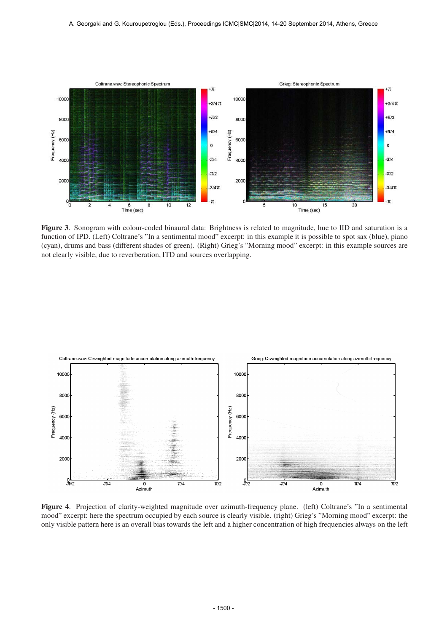

Figure 3. Sonogram with colour-coded binaural data: Brightness is related to magnitude, hue to IID and saturation is a function of IPD. (Left) Coltrane's "In a sentimental mood" excerpt: in this example it is possible to spot sax (blue), piano (cyan), drums and bass (different shades of green). (Right) Grieg's "Morning mood" excerpt: in this example sources are not clearly visible, due to reverberation, ITD and sources overlapping.



Figure 4. Projection of clarity-weighted magnitude over azimuth-frequency plane. (left) Coltrane's "In a sentimental mood" excerpt: here the spectrum occupied by each source is clearly visible. (right) Grieg's "Morning mood" excerpt: the only visible pattern here is an overall bias towards the left and a higher concentration of high frequencies always on the left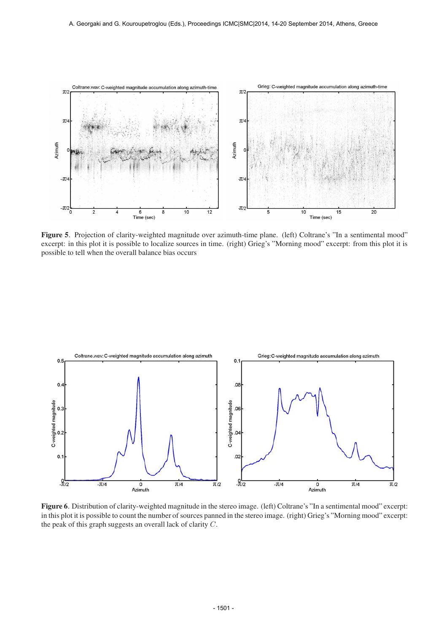

Figure 5. Projection of clarity-weighted magnitude over azimuth-time plane. (left) Coltrane's "In a sentimental mood" excerpt: in this plot it is possible to localize sources in time. (right) Grieg's "Morning mood" excerpt: from this plot it is possible to tell when the overall balance bias occurs



Figure 6. Distribution of clarity-weighted magnitude in the stereo image. (left) Coltrane's "In a sentimental mood" excerpt: in this plot it is possible to count the number of sources panned in the stereo image. (right) Grieg's "Morning mood" excerpt: the peak of this graph suggests an overall lack of clarity C.